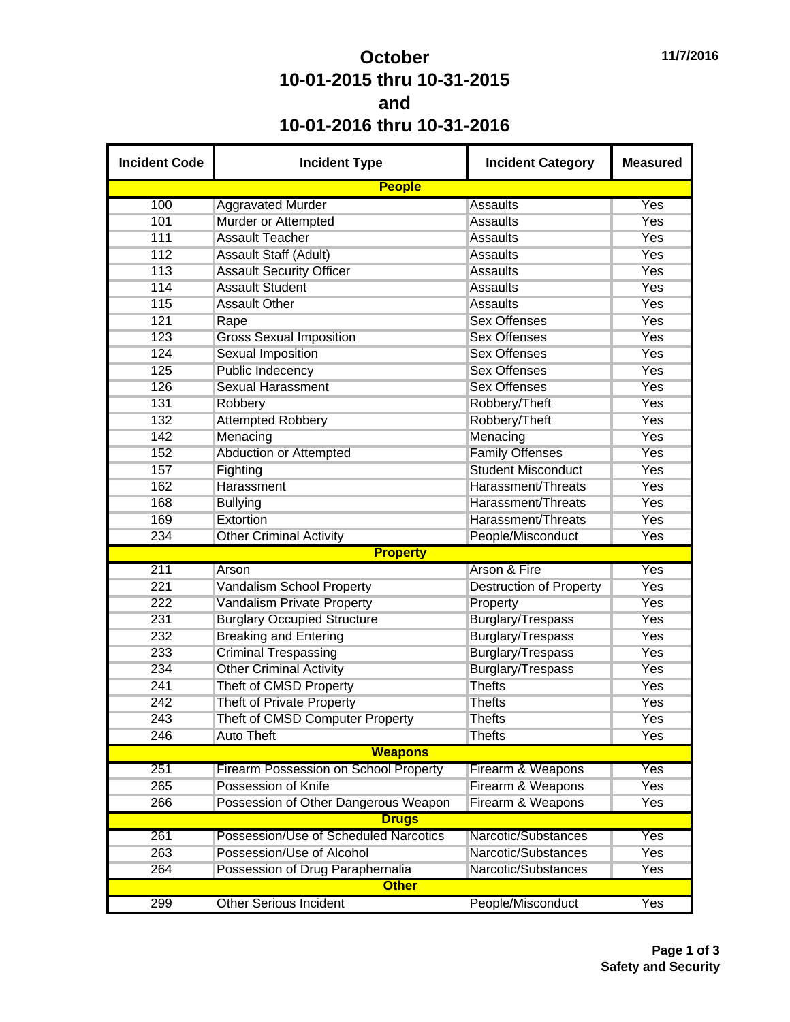## **October 10-01-2015 thru 10-31-2015 and 10-01-2016 thru 10-31-2016**

| <b>Incident Code</b> | <b>Incident Type</b>                  | <b>Incident Category</b>       | <b>Measured</b> |
|----------------------|---------------------------------------|--------------------------------|-----------------|
|                      | <b>People</b>                         |                                |                 |
| 100                  | <b>Aggravated Murder</b>              | <b>Assaults</b>                | Yes             |
| 101                  | Murder or Attempted                   | <b>Assaults</b>                | Yes             |
| 111                  | <b>Assault Teacher</b>                | <b>Assaults</b>                | Yes             |
| 112                  | <b>Assault Staff (Adult)</b>          | <b>Assaults</b>                | Yes             |
| 113                  | <b>Assault Security Officer</b>       | <b>Assaults</b>                | Yes             |
| 114                  | <b>Assault Student</b>                | <b>Assaults</b>                | Yes             |
| 115                  | <b>Assault Other</b>                  | <b>Assaults</b>                | Yes             |
| 121                  | Rape                                  | <b>Sex Offenses</b>            | Yes             |
| 123                  | <b>Gross Sexual Imposition</b>        | <b>Sex Offenses</b>            | Yes             |
| 124                  | <b>Sexual Imposition</b>              | <b>Sex Offenses</b>            | <b>Yes</b>      |
| 125                  | <b>Public Indecency</b>               | <b>Sex Offenses</b>            | Yes             |
| 126                  | <b>Sexual Harassment</b>              | <b>Sex Offenses</b>            | Yes             |
| 131                  | Robbery                               | Robbery/Theft                  | <b>Yes</b>      |
| 132                  | <b>Attempted Robbery</b>              | Robbery/Theft                  | <b>Yes</b>      |
| 142                  | Menacing                              | Menacing                       | Yes             |
| 152                  | <b>Abduction or Attempted</b>         | <b>Family Offenses</b>         | Yes             |
| 157                  | Fighting                              | <b>Student Misconduct</b>      | <b>Yes</b>      |
| 162                  | Harassment                            | Harassment/Threats             | <b>Yes</b>      |
| 168                  | <b>Bullying</b>                       | Harassment/Threats             | <b>Yes</b>      |
| 169                  | Extortion                             | Harassment/Threats             | <b>Yes</b>      |
| 234                  | <b>Other Criminal Activity</b>        | People/Misconduct              | Yes             |
|                      | <b>Property</b>                       |                                |                 |
| 211                  | Arson                                 | <b>Arson &amp; Fire</b>        | Yes             |
| 221                  | <b>Vandalism School Property</b>      | <b>Destruction of Property</b> | <b>Yes</b>      |
| 222                  | <b>Vandalism Private Property</b>     | Property                       | <b>Yes</b>      |
| 231                  | <b>Burglary Occupied Structure</b>    | Burglary/Trespass              | Yes             |
| 232                  | <b>Breaking and Entering</b>          | Burglary/Trespass              | Yes             |
| 233                  | <b>Criminal Trespassing</b>           | Burglary/Trespass              | <b>Yes</b>      |
| 234                  | <b>Other Criminal Activity</b>        | <b>Burglary/Trespass</b>       | Yes             |
| 241                  | Theft of CMSD Property                | <b>Thefts</b>                  | Yes             |
| 242                  | <b>Theft of Private Property</b>      | <b>Thefts</b>                  | Yes             |
| 243                  | Theft of CMSD Computer Property       | <b>Thefts</b>                  | Yes             |
| 246                  | <b>Auto Theft</b>                     | <b>Thefts</b>                  | Yes             |
|                      | <b>Weapons</b>                        |                                |                 |
| 251                  | Firearm Possession on School Property | Firearm & Weapons              | Yes             |
| 265                  | Possession of Knife                   | Firearm & Weapons              | <b>Yes</b>      |
| 266                  | Possession of Other Dangerous Weapon  | Firearm & Weapons              | Yes             |
|                      | <b>Drugs</b>                          |                                |                 |
| 261                  | Possession/Use of Scheduled Narcotics | Narcotic/Substances            | Yes             |
|                      | Possession/Use of Alcohol             | Narcotic/Substances            |                 |
| 263                  |                                       |                                | Yes             |
| 264                  | Possession of Drug Paraphernalia      | Narcotic/Substances            | Yes             |
|                      | <b>Other</b>                          |                                |                 |
| 299                  | <b>Other Serious Incident</b>         | People/Misconduct              | Yes             |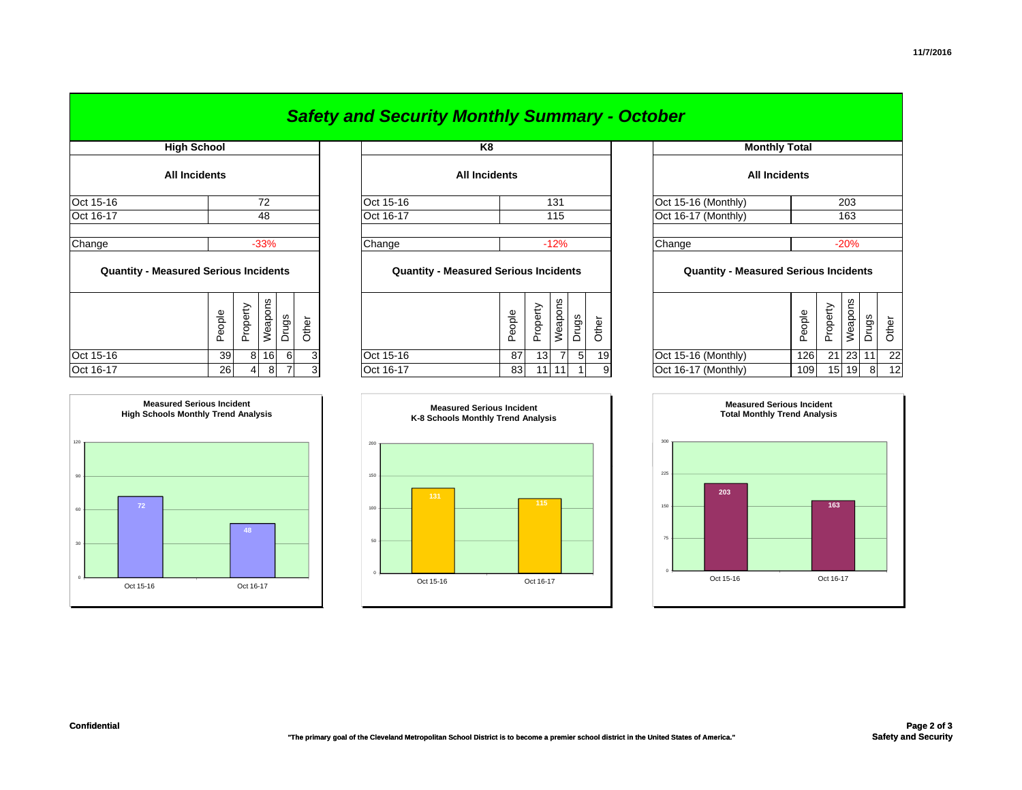|                                              |  |        |          |         |       |       |                      | <b>Safety and Security Monthly Summary - October</b> |  |        |          |                      |                      |       |                                              |        |          |               |       |       |
|----------------------------------------------|--|--------|----------|---------|-------|-------|----------------------|------------------------------------------------------|--|--------|----------|----------------------|----------------------|-------|----------------------------------------------|--------|----------|---------------|-------|-------|
| <b>High School</b><br>All Incidents          |  |        |          |         |       | K8    |                      |                                                      |  |        |          | <b>Monthly Total</b> |                      |       |                                              |        |          |               |       |       |
|                                              |  |        |          |         |       |       | <b>All Incidents</b> |                                                      |  |        |          |                      | <b>All Incidents</b> |       |                                              |        |          |               |       |       |
| Oct 15-16                                    |  |        |          | 72      |       |       |                      | Oct 15-16                                            |  |        |          | 131                  |                      |       | Oct 15-16 (Monthly)                          |        |          | 203           |       |       |
| Oct 16-17                                    |  |        |          | 48      |       |       |                      | Oct 16-17                                            |  |        |          | 115                  |                      |       | Oct 16-17 (Monthly)                          |        |          | 163<br>$-20%$ |       |       |
| Change                                       |  |        |          | $-33%$  |       |       |                      | Change                                               |  |        |          | $-12%$               |                      |       | Change                                       |        |          |               |       |       |
| <b>Quantity - Measured Serious Incidents</b> |  |        |          |         |       |       |                      | <b>Quantity - Measured Serious Incidents</b>         |  |        |          |                      |                      |       | <b>Quantity - Measured Serious Incidents</b> |        |          |               |       |       |
|                                              |  | People | Property | Weapons | Drugs | Other |                      |                                                      |  | People | Property | Weapons              | Drugs                | Other |                                              | People | Property | Weapons       | Drugs | Other |
| Oct 15-16                                    |  | 39     | 8        | 16      | 6     | 3     |                      | Oct 15-16                                            |  | 87     | 13       | 7                    | 5                    | 19    | Oct 15-16 (Monthly)                          | 126    | 21       | 23            |       | 22    |
| Oct 16-17                                    |  | 26     | 4        | 8       |       | 3     |                      | Oct 16-17                                            |  | 83     |          | $11$ 11              | $\mathbf{1}$         |       | Oct 16-17 (Monthly)                          | 109    |          | 15 19         | 8     | -12   |

| <b>Monthly Total</b>                         |        |          |         |       |       |  |  |  |  |  |  |
|----------------------------------------------|--------|----------|---------|-------|-------|--|--|--|--|--|--|
| <b>All Incidents</b>                         |        |          |         |       |       |  |  |  |  |  |  |
| Oct 15-16 (Monthly)<br>203                   |        |          |         |       |       |  |  |  |  |  |  |
| Oct 16-17 (Monthly)                          | 163    |          |         |       |       |  |  |  |  |  |  |
|                                              |        |          |         |       |       |  |  |  |  |  |  |
| Change                                       | $-20%$ |          |         |       |       |  |  |  |  |  |  |
| <b>Quantity - Measured Serious Incidents</b> |        |          |         |       |       |  |  |  |  |  |  |
|                                              | People | Property | Weapons | Drugs | Other |  |  |  |  |  |  |
| Oct 15-16 (Monthly)                          | 126    | 21       | 23      | 11    | 22    |  |  |  |  |  |  |
| Oct 16-17 (Monthly)                          | 109    | 15       | 19      | 8     | 12    |  |  |  |  |  |  |



## *Safety and Security Monthly Summary - October*

| OCT 15-16                                    |        |                     | 72       |                 |              |
|----------------------------------------------|--------|---------------------|----------|-----------------|--------------|
| Oct 16-17                                    |        | 48                  |          |                 |              |
| Change                                       |        |                     | $-33%$   |                 |              |
| <b>Quantity - Measured Serious Incidents</b> |        |                     |          | Drugs<br>6<br>7 |              |
|                                              | People | Property<br>Weapons |          |                 | Other        |
| Oct 15-16                                    | 39     | 8                   | 16       |                 | 3            |
| $0o + 16$ 17                                 | າຂ     | $\Lambda$           | $\Omega$ |                 | $\mathbf{r}$ |



|          | <b>Measured Serious Incident</b><br>K-8 Schools Monthly Trend Analysis |           |  |           |  |  |  |  |  |  |  |
|----------|------------------------------------------------------------------------|-----------|--|-----------|--|--|--|--|--|--|--|
| 200      |                                                                        |           |  |           |  |  |  |  |  |  |  |
| 150      |                                                                        |           |  |           |  |  |  |  |  |  |  |
| 100      |                                                                        | 131       |  | 115       |  |  |  |  |  |  |  |
| 50       |                                                                        |           |  |           |  |  |  |  |  |  |  |
| $\theta$ |                                                                        | Oct 15-16 |  | Oct 16-17 |  |  |  |  |  |  |  |